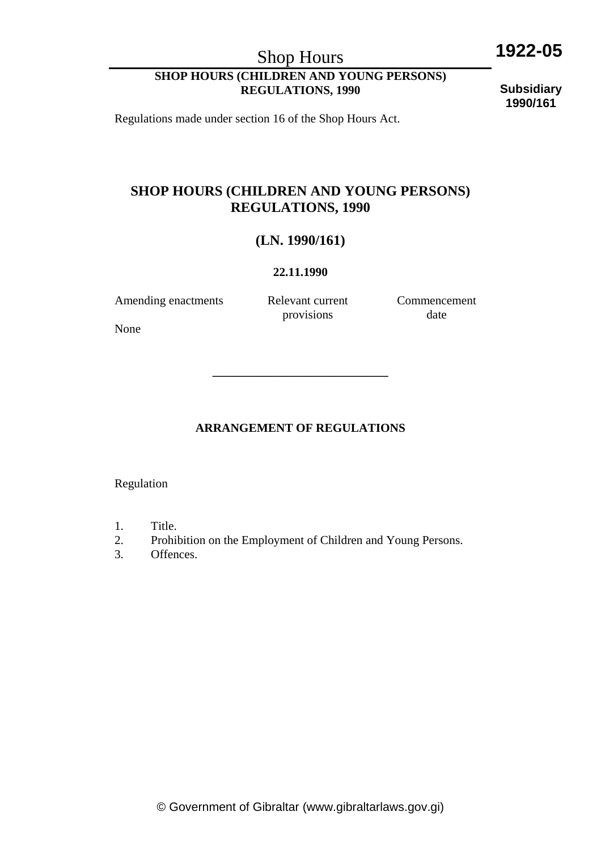Shop Hours

# **1922-05**

### **SHOP HOURS (CHILDREN AND YOUNG PERSONS) REGULATIONS, 1990**

**Subsidiary 1990/161**

Regulations made under section 16 of the Shop Hours Act.

### **SHOP HOURS (CHILDREN AND YOUNG PERSONS) REGULATIONS, 1990**

### **(LN. 1990/161)**

#### **22.11.1990**

Amending enactments Relevant current

provisions

Commencement date

None

### **ARRANGEMENT OF REGULATIONS**

**\_\_\_\_\_\_\_\_\_\_\_\_\_\_\_\_\_\_\_\_\_\_\_\_\_\_\_\_\_** 

Regulation

- 1. Title.
- 2. Prohibition on the Employment of Children and Young Persons.
- 3. Offences.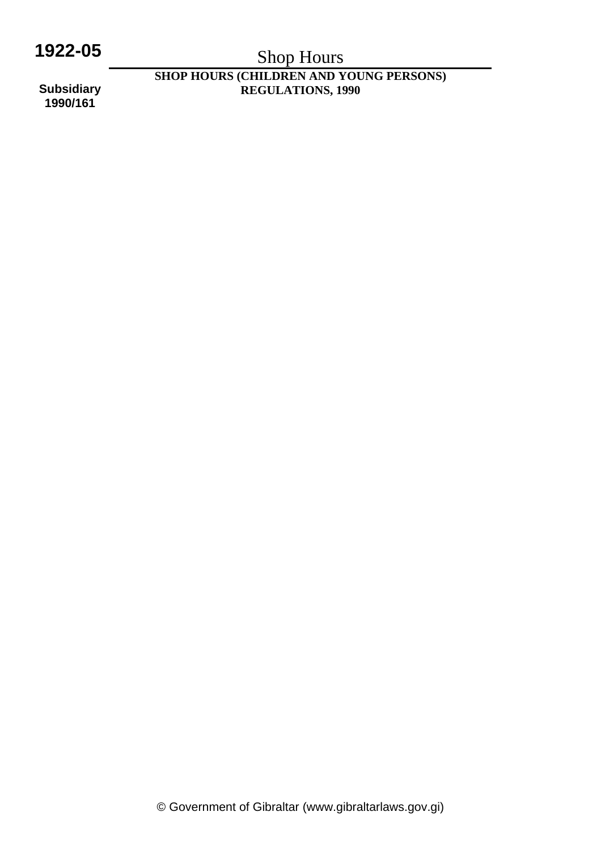# **1922-05**

# Shop Hours

**SHOP HOURS (CHILDREN AND YOUNG PERSONS) REGULATIONS, 1990** 

**Subsidiary 1990/161**